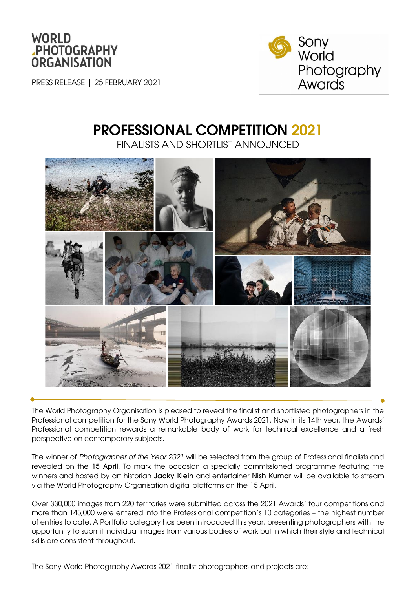

PRESS RELEASE | 25 FEBRUARY 2021



# PROFESSIONAL COMPETITION 2021

FINALISTS AND SHORTLIST ANNOUNCED



The World Photography Organisation is pleased to reveal the finalist and shortlisted photographers in the Professional competition for the Sony World Photography Awards 2021. Now in its 14th year, the Awards' Professional competition rewards a remarkable body of work for technical excellence and a fresh perspective on contemporary subjects.

The winner of *Photographer of the Year 2021* will be selected from the group of Professional finalists and revealed on the 15 April. To mark the occasion a specially commissioned programme featuring the winners and hosted by art historian Jacky Klein and entertainer Nish Kumar will be available to stream via the World Photography Organisation digital platforms on the 15 April.

Over 330,000 images from 220 territories were submitted across the 2021 Awards' four competitions and more than 145,000 were entered into the Professional competition's 10 categories – the highest number of entries to date. A Portfolio category has been introduced this year, presenting photographers with the opportunity to submit individual images from various bodies of work but in which their style and technical skills are consistent throughout.

The Sony World Photography Awards 2021 finalist photographers and projects are: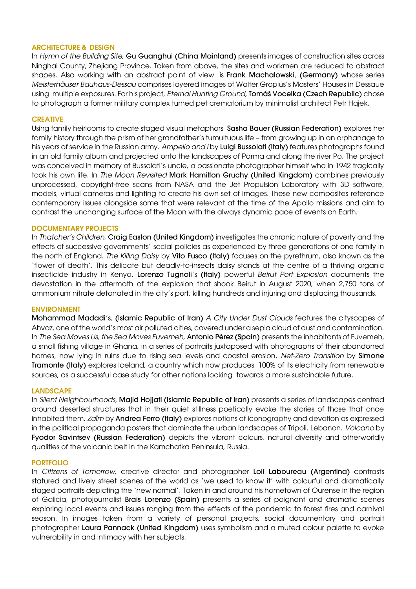## ARCHITECTURE & DESIGN

In *Hymn of the Building Site*, Gu Guanghui (China Mainland) presents images of construction sites across Ninghai County, Zhejiang Province. Taken from above, the sites and workmen are reduced to abstract shapes. Also working with an abstract point of view is Frank Machalowski, (Germany) whose series *Meisterhäuser Bauhaus-Dessau* comprises layered images of Walter Gropius's Masters' Houses in Dessaue using multiple exposures. For his project, *Eternal Hunting Ground,* Tomáš Vocelka (Czech Republic) chose to photograph a former military complex turned pet crematorium by minimalist architect Petr Hajek.

# **CREATIVE**

Using family heirlooms to create staged visual metaphors Sasha Bauer (Russian Federation) explores her family history through the prism of her grandfather's tumultuous life – from growing up in an orphanage to his years of service in the Russian army. *Ampelio and I* by Luigi Bussolati (Italy) features photographs found in an old family album and projected onto the landscapes of Parma and along the river Po. The project was conceived in memory of Bussolati's uncle, a passionate photographer himself who in 1942 tragically took his own life. In *The Moon Revisited* Mark Hamilton Gruchy (United Kingdom) combines previously unprocessed, copyright-free scans from NASA and the Jet Propulsion Laboratory with 3D software, models, virtual cameras and lighting to create his own set of images. These new composites reference contemporary issues alongside some that were relevant at the time of the Apollo missions and aim to contrast the unchanging surface of the Moon with the always dynamic pace of events on Earth.

# DOCUMENTARY PROJECTS

In *Thatcher's Children*, Craig Easton (United Kingdom) investigates the chronic nature of poverty and the effects of successive governments' social policies as experienced by three generations of one family in the north of England. *The Killing Daisy* by Vito Fusco (Italy) focuses on the pyrethrum, also known as the 'flower of death'. This delicate but deadly-to-insects daisy stands at the centre of a thriving organic insecticide industry in Kenya. Lorenzo Tugnoli's (Italy) powerful *Beirut Port Explosion* documents the devastation in the aftermath of the explosion that shook Beirut in August 2020, when 2,750 tons of ammonium nitrate detonated in the city's port, killing hundreds and injuring and displacing thousands.

### **ENVIRONMENT**

Mohammad Madadi's, (Islamic Republic of Iran) *A City Under Dust Clouds* features the cityscapes of Ahvaz, one of the world's most air polluted cities, covered under a sepia cloud of dust and contamination. In *The Sea Moves Us, the Sea Moves Fuvemeh,* Antonio Pérez (Spain) presents the inhabitants of Fuvemeh, a small fishing village in Ghana, in a series of portraits juxtaposed with photographs of their abandoned homes, now lying in ruins due to rising sea levels and coastal erosion. *Net-Zero Transition* by Simone Tramonte (Italy) explores Iceland, a country which now produces 100% of its electricity from renewable sources, as a successful case study for other nations looking towards a more sustainable future.

### **LANDSCAPE**

In *Silent Neighbourhoods,* Majid Hojjati (Islamic Republic of Iran) presents a series of landscapes centred around deserted structures that in their quiet stillness poetically evoke the stories of those that once inhabited them. *Zaïm* by Andrea Ferro (Italy) explores notions of iconography and devotion as expressed in the political propaganda posters that dominate the urban landscapes of Tripoli, Lebanon. *Volcano* by Fyodor Savintsev (Russian Federation) depicts the vibrant colours, natural diversity and otherworldly qualities of the volcanic belt in the Kamchatka Peninsula, Russia.

# PORTFOLIO

In *Citizens of Tomorrow*, creative director and photographer Loli Laboureau (Argentina) contrasts statured and lively street scenes of the world as 'we used to know it' with colourful and dramatically staged portraits depicting the 'new normal'. Taken in and around his hometown of Ourense in the region of Galicia, photojournalist **Brais Lorenzo (Spain)** presents a series of poignant and dramatic scenes exploring local events and issues ranging from the effects of the pandemic to forest fires and carnival season. In images taken from a variety of personal projects, social documentary and portrait photographer Laura Pannack (United Kingdom) uses symbolism and a muted colour palette to evoke vulnerability in and intimacy with her subjects.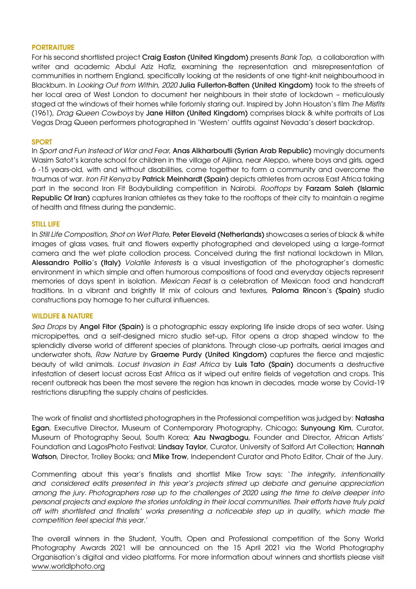### **PORTRAITURE**

For his second shortlisted project Craig Easton (United Kingdom) presents *Bank Top,* a collaboration with writer and academic Abdul Aziz Hafiz, examining the representation and misrepresentation of communities in northern England, specifically looking at the residents of one tight-knit neighbourhood in Blackburn. In *Looking Out from Within, 2020* Julia Fullerton-Batten (United Kingdom) took to the streets of her local area of West London to document her neighbours in their state of lockdown – meticulously staged at the windows of their homes while forlornly staring out. Inspired by John Houston's film *The Misfits* (1961), *Drag Queen Cowboys* by Jane Hilton (United Kingdom) comprises black & white portraits of Las Vegas Drag Queen performers photographed in 'Western' outfits against Nevada's desert backdrop.

### **SPORT**

In *Sport and Fun Instead of War and Fear*, Anas Alkharboutli (Syrian Arab Republic) movingly documents Wasim Satot's karate school for children in the village of Aljiina, near Aleppo, where boys and girls, aged 6 -15 years-old, with and without disabilities, come together to form a community and overcome the traumas of war. *Iron Fit Kenya* by Patrick Meinhardt (Spain) depicts athletes from across East Africa taking part in the second Iron Fit Bodybuilding competition in Nairobi. *Rooftops* by Farzam Saleh (Islamic Republic Of Iran) captures Iranian athletes as they take to the rooftops of their city to maintain a reaime of health and fitness during the pandemic.

### STILL LIFE

In *Still Life Composition, Shot on Wet Plate*, Peter Eleveld (Netherlands) showcases a series of black & white images of glass vases, fruit and flowers expertly photographed and developed using a large-format camera and the wet plate collodion process. Conceived during the first national lockdown in Milan, Alessandro Pollio's (Italy) *Volatile Interests* is a visual investigation of the photographer's domestic environment in which simple and often humorous compositions of food and everyday objects represent memories of days spent in isolation. *Mexican Feast* is a celebration of Mexican food and handcraft traditions. In a vibrant and brightly lit mix of colours and textures, Paloma Rincon's (Spain) studio constructions pay homage to her cultural influences.

### WILDLIFE & NATURE

*Sea Drops* by Angel Fitor (Spain) is a photographic essay exploring life inside drops of sea water. Using micropipettes, and a self-designed micro studio set-up, Fitor opens a drop shaped window to the splendidly diverse world of different species of planktons. Through close-up portraits, aerial images and underwater shots, *Raw Nature* by Graeme Purdy (United Kingdom) captures the fierce and majestic beauty of wild animals. *Locust Invasion in East Africa* by Luis Tato (Spain) documents a destructive infestation of desert locust across East Africa as it wiped out entire fields of vegetation and crops. This recent outbreak has been the most severe the region has known in decades, made worse by Covid-19 restrictions disrupting the supply chains of pesticides.

The work of finalist and shortlisted photographers in the Professional competition was judged by: Natasha Egan, Executive Director, Museum of Contemporary Photography, Chicago; Sunyoung Kim, Curator, Museum of Photography Seoul, South Korea; Azu Nwagbogu, Founder and Director, African Artists' Foundation and LagosPhoto Festival; Lindsay Taylor, Curator, University of Salford Art Collection; Hannah Watson, Director, Trolley Books; and Mike Trow, Independent Curator and Photo Editor, Chair of the Jury.

Commenting about this year's finalists and shortlist Mike Trow says: '*The integrity, intentionality and considered edits presented in this year's projects stirred up debate and genuine appreciation among the jury. Photographers rose up to the challenges of 2020 using the time to delve deeper into personal projects and explore the stories unfolding in their local communities. Their efforts have truly paid off with shortlisted and finalists' works presenting a noticeable step up in quality, which made the competition feel special this year*.'

The overall winners in the Student, Youth, Open and Professional competition of the Sony World Photography Awards 2021 will be announced on the 15 April 2021 via the World Photography Organisation's digital and video platforms. For more information about winners and shortlists please visit [www.worldlphoto.org](http://www.worldlphoto.org/)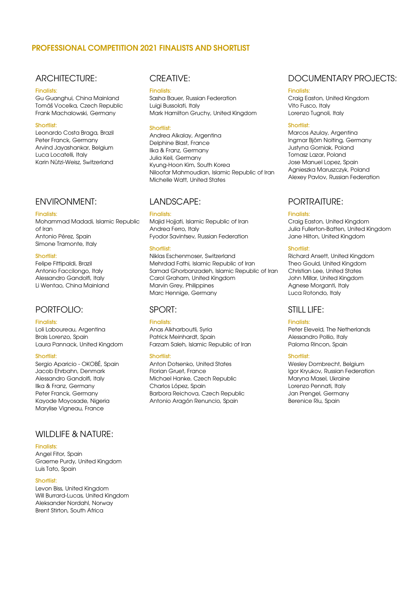# PROFESSIONAL COMPETITION 2021 FINALISTS AND SHORTLIST

# ARCHITECTURE:

#### Finalists:

Gu Guanghui, China Mainland Tomáš Vocelka, Czech Republic Frank Machalowski, Germany

#### Shortlist:

Leonardo Costa Braga, Brazil Peter Franck, Germany Arvind Jayashankar, Belgium Luca Locatelli, Italy Karin Nützi-Weisz, Switzerland

# ENVIRONMENT:

#### Finalists:

Mohammad Madadi, Islamic Republic of Iran Antonio Pérez, Spain Simone Tramonte, Italy

### Shortlist:

Felipe Fittipaldi, Brazil Antonio Faccilongo, Italy Alessandro Gandolfi, Italy Li Wentao, China Mainland

# PORTFOLIO:

### Finalists:

Loli Laboureau, Argentina Brais Lorenzo, Spain Laura Pannack, United Kingdom

#### **Shortlist:**

Sergio Aparicio - OKOBÉ, Spain Jacob Ehrbahn, Denmark Alessandro Gandolfi, Italy Ilka & Franz, Germany Peter Franck, Germany Kayode Moyosade, Nigeria Marylise Vigneau, France

# WILDLIFF & NATURE:

### Finalists:

Angel Fitor, Spain Graeme Purdy, United Kingdom Luis Tato, Spain

### Shortlist:

Levon Biss, United Kingdom Will Burrard-Lucas, United Kingdom Aleksander Nordahl, Norway Brent Stirton, South Africa

# CREATIVE:

#### Finalists:

Sasha Bauer, Russian Federation Luigi Bussolati, Italy Mark Hamilton Gruchy, United Kingdom

### Shortlist:

Andrea Alkalay, Argentina Delphine Blast, France Ilka & Franz, Germany Julia Keil, Germany Kyung-Hoon Kim, South Korea Niloofar Mahmoudian, Islamic Republic of Iran Michelle Watt, United States

# LANDSCAPE:

### Finalists:

Majid Hojjati, Islamic Republic of Iran Andrea Ferro, Italy Fyodor Savintsev, Russian Federation

### Shortlist:

Niklas Eschenmoser, Switzerland Mehrdad Fathi, Islamic Republic of Iran Samad Ghorbanzadeh, Islamic Republic of Iran Carol Graham, United Kingdom Marvin Grey, Philippines Marc Hennige, Germany

# SPORT:

### Finalists:

Anas Alkharboutli, Syria Patrick Meinhardt, Spain Farzam Saleh, Islamic Republic of Iran

## Shortlist:

Anton Dotsenko, United States Florian Gruet, France Michael Hanke, Czech Republic Charlos López, Spain Barbora Reichova, Czech Republic Antonio Aragón Renuncio, Spain

# DOCUMENTARY PROJECTS:

#### Finalists:

Craig Easton, United Kingdom Vito Fusco, Italy Lorenzo Tugnoli, Italy

### Shortlist:

Marcos Azulay, Argentina Ingmar Björn Nolting, Germany Justyna Gorniak, Poland Tomasz Lazar, Poland Jose Manuel Lopez, Spain Agnieszka Maruszczyk, Poland Alexey Pavlov, Russian Federation

# PORTRAITURE:

### Finalists:

Craig Easton, United Kingdom Julia Fullerton-Batten, United Kingdom Jane Hilton, United Kingdom

### Shortlist:

Richard Ansett, United Kingdom Theo Gould, United Kingdom Christian Lee, United States John Millar, United Kingdom Agnese Morganti, Italy Luca Rotondo, Italy

# STILL LIFE:

### Finalists:

Peter Eleveld, The Netherlands Alessandro Pollio, Italy Paloma Rincon, Spain

## Shortlist:

Wesley Dombrecht, Belgium Igor Kryukov, Russian Federation Maryna Masel, Ukraine Lorenzo Pennati, Italy Jan Prengel, Germany Berenice Riu, Spain